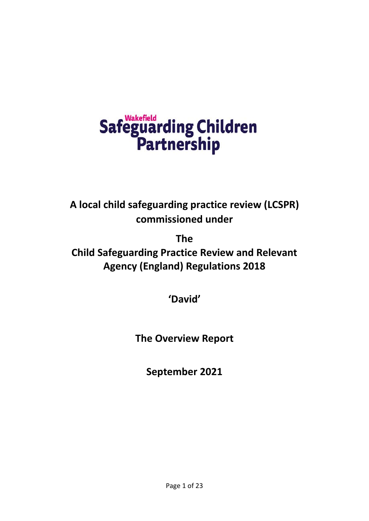# Safeguarding Children<br>Partnership

**A local child safeguarding practice review (LCSPR) commissioned under** 

**The**

**Child Safeguarding Practice Review and Relevant Agency (England) Regulations 2018**

**'David'**

**The Overview Report**

**September 2021**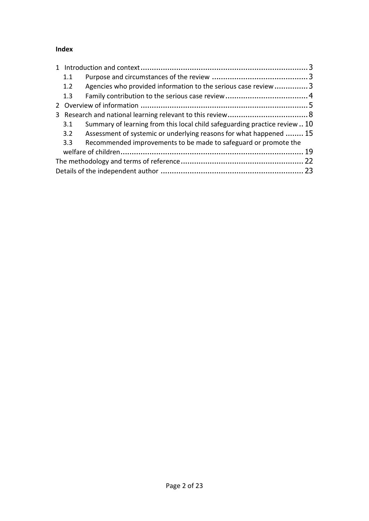# **Index**

| 1.1 |                                                                            |  |
|-----|----------------------------------------------------------------------------|--|
| 1.2 | Agencies who provided information to the serious case review 3             |  |
| 1.3 |                                                                            |  |
|     |                                                                            |  |
|     |                                                                            |  |
| 3.1 | Summary of learning from this local child safeguarding practice review  10 |  |
| 3.2 | Assessment of systemic or underlying reasons for what happened  15         |  |
| 3.3 | Recommended improvements to be made to safeguard or promote the            |  |
|     |                                                                            |  |
|     |                                                                            |  |
|     |                                                                            |  |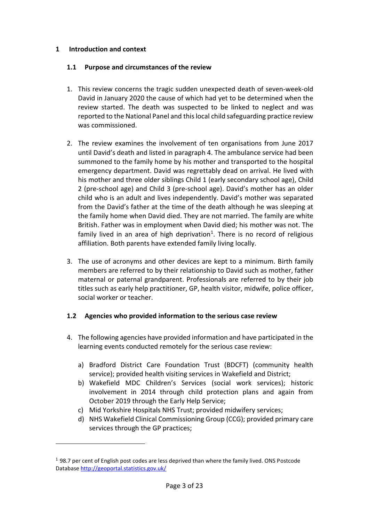# <span id="page-2-0"></span>**1 Introduction and context**

 $\overline{a}$ 

#### <span id="page-2-1"></span>**1.1 Purpose and circumstances of the review**

- 1. This review concerns the tragic sudden unexpected death of seven-week-old David in January 2020 the cause of which had yet to be determined when the review started. The death was suspected to be linked to neglect and was reported to the National Panel and this local child safeguarding practice review was commissioned.
- 2. The review examines the involvement of ten organisations from June 2017 until David's death and listed in paragraph 4. The ambulance service had been summoned to the family home by his mother and transported to the hospital emergency department. David was regrettably dead on arrival. He lived with his mother and three older siblings Child 1 (early secondary school age), Child 2 (pre-school age) and Child 3 (pre-school age). David's mother has an older child who is an adult and lives independently. David's mother was separated from the David's father at the time of the death although he was sleeping at the family home when David died. They are not married. The family are white British. Father was in employment when David died; his mother was not. The family lived in an area of high deprivation<sup>1</sup>. There is no record of religious affiliation. Both parents have extended family living locally.
- 3. The use of acronyms and other devices are kept to a minimum. Birth family members are referred to by their relationship to David such as mother, father maternal or paternal grandparent. Professionals are referred to by their job titles such as early help practitioner, GP, health visitor, midwife, police officer, social worker or teacher.

# <span id="page-2-2"></span>**1.2 Agencies who provided information to the serious case review**

- 4. The following agencies have provided information and have participated in the learning events conducted remotely for the serious case review:
	- a) Bradford District Care Foundation Trust (BDCFT) (community health service); provided health visiting services in Wakefield and District;
	- b) Wakefield MDC Children's Services (social work services); historic involvement in 2014 through child protection plans and again from October 2019 through the Early Help Service;
	- c) Mid Yorkshire Hospitals NHS Trust; provided midwifery services;
	- d) NHS Wakefield Clinical Commissioning Group (CCG); provided primary care services through the GP practices;

 $1$  98.7 per cent of English post codes are less deprived than where the family lived. ONS Postcode Database <http://geoportal.statistics.gov.uk/>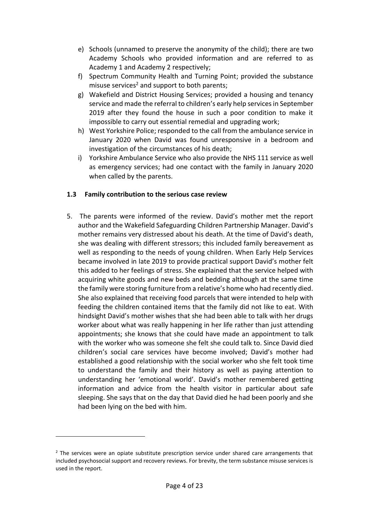- e) Schools (unnamed to preserve the anonymity of the child); there are two Academy Schools who provided information and are referred to as Academy 1 and Academy 2 respectively;
- f) Spectrum Community Health and Turning Point; provided the substance misuse services<sup>2</sup> and support to both parents;
- g) Wakefield and District Housing Services; provided a housing and tenancy service and made the referral to children's early help services in September 2019 after they found the house in such a poor condition to make it impossible to carry out essential remedial and upgrading work;
- h) West Yorkshire Police; responded to the call from the ambulance service in January 2020 when David was found unresponsive in a bedroom and investigation of the circumstances of his death;
- i) Yorkshire Ambulance Service who also provide the NHS 111 service as well as emergency services; had one contact with the family in January 2020 when called by the parents.

# <span id="page-3-0"></span>**1.3 Family contribution to the serious case review**

5. The parents were informed of the review. David's mother met the report author and the Wakefield Safeguarding Children Partnership Manager. David's mother remains very distressed about his death. At the time of David's death, she was dealing with different stressors; this included family bereavement as well as responding to the needs of young children. When Early Help Services became involved in late 2019 to provide practical support David's mother felt this added to her feelings of stress. She explained that the service helped with acquiring white goods and new beds and bedding although at the same time the family were storing furniture from a relative's home who had recently died. She also explained that receiving food parcels that were intended to help with feeding the children contained items that the family did not like to eat. With hindsight David's mother wishes that she had been able to talk with her drugs worker about what was really happening in her life rather than just attending appointments; she knows that she could have made an appointment to talk with the worker who was someone she felt she could talk to. Since David died children's social care services have become involved; David's mother had established a good relationship with the social worker who she felt took time to understand the family and their history as well as paying attention to understanding her 'emotional world'. David's mother remembered getting information and advice from the health visitor in particular about safe sleeping. She says that on the day that David died he had been poorly and she had been lying on the bed with him.

 $2$  The services were an opiate substitute prescription service under shared care arrangements that included psychosocial support and recovery reviews. For brevity, the term substance misuse services is used in the report.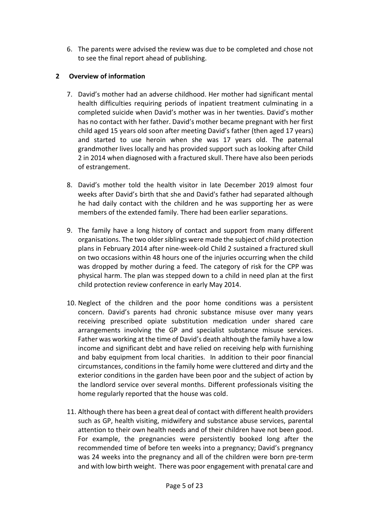6. The parents were advised the review was due to be completed and chose not to see the final report ahead of publishing.

# <span id="page-4-0"></span>**2 Overview of information**

- 7. David's mother had an adverse childhood. Her mother had significant mental health difficulties requiring periods of inpatient treatment culminating in a completed suicide when David's mother was in her twenties. David's mother has no contact with her father. David's mother became pregnant with her first child aged 15 years old soon after meeting David's father (then aged 17 years) and started to use heroin when she was 17 years old. The paternal grandmother lives locally and has provided support such as looking after Child 2 in 2014 when diagnosed with a fractured skull. There have also been periods of estrangement.
- 8. David's mother told the health visitor in late December 2019 almost four weeks after David's birth that she and David's father had separated although he had daily contact with the children and he was supporting her as were members of the extended family. There had been earlier separations.
- 9. The family have a long history of contact and support from many different organisations. The two older siblings were made the subject of child protection plans in February 2014 after nine-week-old Child 2 sustained a fractured skull on two occasions within 48 hours one of the injuries occurring when the child was dropped by mother during a feed. The category of risk for the CPP was physical harm. The plan was stepped down to a child in need plan at the first child protection review conference in early May 2014.
- 10. Neglect of the children and the poor home conditions was a persistent concern. David's parents had chronic substance misuse over many years receiving prescribed opiate substitution medication under shared care arrangements involving the GP and specialist substance misuse services. Father was working at the time of David's death although the family have a low income and significant debt and have relied on receiving help with furnishing and baby equipment from local charities. In addition to their poor financial circumstances, conditions in the family home were cluttered and dirty and the exterior conditions in the garden have been poor and the subject of action by the landlord service over several months. Different professionals visiting the home regularly reported that the house was cold.
- 11. Although there has been a great deal of contact with different health providers such as GP, health visiting, midwifery and substance abuse services, parental attention to their own health needs and of their children have not been good. For example, the pregnancies were persistently booked long after the recommended time of before ten weeks into a pregnancy; David's pregnancy was 24 weeks into the pregnancy and all of the children were born pre-term and with low birth weight. There was poor engagement with prenatal care and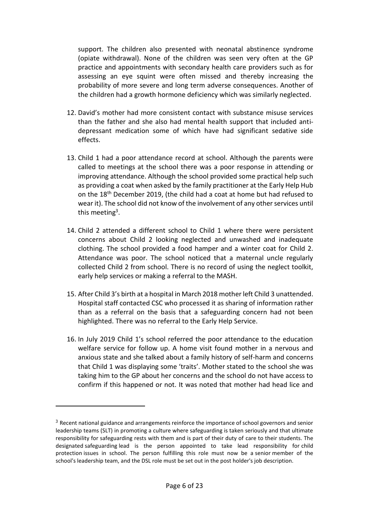support. The children also presented with neonatal abstinence syndrome (opiate withdrawal). None of the children was seen very often at the GP practice and appointments with secondary health care providers such as for assessing an eye squint were often missed and thereby increasing the probability of more severe and long term adverse consequences. Another of the children had a growth hormone deficiency which was similarly neglected.

- 12. David's mother had more consistent contact with substance misuse services than the father and she also had mental health support that included antidepressant medication some of which have had significant sedative side effects.
- 13. Child 1 had a poor attendance record at school. Although the parents were called to meetings at the school there was a poor response in attending or improving attendance. Although the school provided some practical help such as providing a coat when asked by the family practitioner at the Early Help Hub on the 18th December 2019, (the child had a coat at home but had refused to wear it). The school did not know of the involvement of any other services until this meeting<sup>3</sup>.
- 14. Child 2 attended a different school to Child 1 where there were persistent concerns about Child 2 looking neglected and unwashed and inadequate clothing. The school provided a food hamper and a winter coat for Child 2. Attendance was poor. The school noticed that a maternal uncle regularly collected Child 2 from school. There is no record of using the neglect toolkit, early help services or making a referral to the MASH.
- 15. After Child 3's birth at a hospital in March 2018 mother left Child 3 unattended. Hospital staff contacted CSC who processed it as sharing of information rather than as a referral on the basis that a safeguarding concern had not been highlighted. There was no referral to the Early Help Service.
- 16. In July 2019 Child 1's school referred the poor attendance to the education welfare service for follow up. A home visit found mother in a nervous and anxious state and she talked about a family history of self-harm and concerns that Child 1 was displaying some 'traits'. Mother stated to the school she was taking him to the GP about her concerns and the school do not have access to confirm if this happened or not. It was noted that mother had head lice and

 $3$  Recent national guidance and arrangements reinforce the importance of school governors and senior leadership teams (SLT) in promoting a culture where safeguarding is taken seriously and that ultimate responsibility for safeguarding rests with them and is part of their duty of care to their students. The designated safeguarding lead is the person appointed to take lead responsibility for child protection issues in school. The person fulfilling this role must now be a senior member of the school's leadership team, and the DSL role must be set out in the post holder's job description.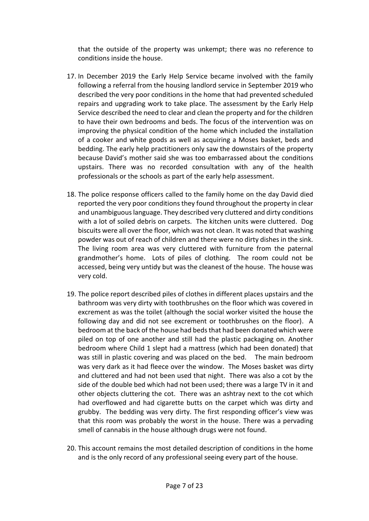that the outside of the property was unkempt; there was no reference to conditions inside the house.

- 17. In December 2019 the Early Help Service became involved with the family following a referral from the housing landlord service in September 2019 who described the very poor conditions in the home that had prevented scheduled repairs and upgrading work to take place. The assessment by the Early Help Service described the need to clear and clean the property and for the children to have their own bedrooms and beds. The focus of the intervention was on improving the physical condition of the home which included the installation of a cooker and white goods as well as acquiring a Moses basket, beds and bedding. The early help practitioners only saw the downstairs of the property because David's mother said she was too embarrassed about the conditions upstairs. There was no recorded consultation with any of the health professionals or the schools as part of the early help assessment.
- 18. The police response officers called to the family home on the day David died reported the very poor conditions they found throughout the property in clear and unambiguous language. They described very cluttered and dirty conditions with a lot of soiled debris on carpets. The kitchen units were cluttered. Dog biscuits were all over the floor, which was not clean. It was noted that washing powder was out of reach of children and there were no dirty dishes in the sink. The living room area was very cluttered with furniture from the paternal grandmother's home. Lots of piles of clothing. The room could not be accessed, being very untidy but was the cleanest of the house. The house was very cold.
- 19. The police report described piles of clothes in different places upstairs and the bathroom was very dirty with toothbrushes on the floor which was covered in excrement as was the toilet (although the social worker visited the house the following day and did not see excrement or toothbrushes on the floor). A bedroom at the back of the house had beds that had been donated which were piled on top of one another and still had the plastic packaging on. Another bedroom where Child 1 slept had a mattress (which had been donated) that was still in plastic covering and was placed on the bed. The main bedroom was very dark as it had fleece over the window. The Moses basket was dirty and cluttered and had not been used that night. There was also a cot by the side of the double bed which had not been used; there was a large TV in it and other objects cluttering the cot. There was an ashtray next to the cot which had overflowed and had cigarette butts on the carpet which was dirty and grubby. The bedding was very dirty. The first responding officer's view was that this room was probably the worst in the house. There was a pervading smell of cannabis in the house although drugs were not found.
- 20. This account remains the most detailed description of conditions in the home and is the only record of any professional seeing every part of the house.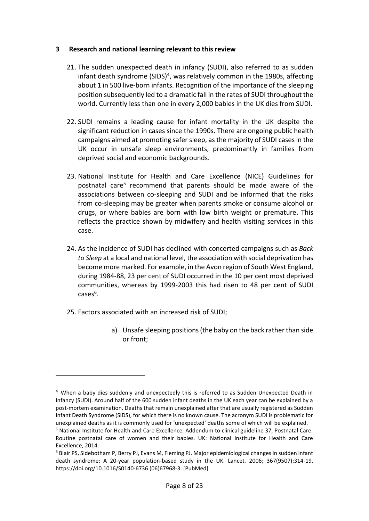#### <span id="page-7-0"></span>**3 Research and national learning relevant to this review**

- 21. The sudden unexpected death in infancy (SUDI), also referred to as sudden infant death syndrome (SIDS)<sup>4</sup>, was relatively common in the 1980s, affecting about 1 in 500 live-born infants. Recognition of the importance of the sleeping position subsequently led to a dramatic fall in the rates of SUDI throughout the world. Currently less than one in every 2,000 babies in the UK dies from SUDI.
- 22. SUDI remains a leading cause for infant mortality in the UK despite the significant reduction in cases since the 1990s. There are ongoing public health campaigns aimed at promoting safer sleep, as the majority of SUDI cases in the UK occur in unsafe sleep environments, predominantly in families from deprived social and economic backgrounds.
- 23. National Institute for Health and Care Excellence (NICE) Guidelines for postnatal care<sup>5</sup> recommend that parents should be made aware of the associations between co-sleeping and SUDI and be informed that the risks from co-sleeping may be greater when parents smoke or consume alcohol or drugs, or where babies are born with low birth weight or premature. This reflects the practice shown by midwifery and health visiting services in this case.
- 24. As the incidence of SUDI has declined with concerted campaigns such as *Back to Sleep* at a local and national level, the association with social deprivation has become more marked. For example, in the Avon region of South West England, during 1984-88, 23 per cent of SUDI occurred in the 10 per cent most deprived communities, whereas by 1999-2003 this had risen to 48 per cent of SUDI cases<sup>6</sup>.
- 25. Factors associated with an increased risk of SUDI;

 $\overline{a}$ 

a) Unsafe sleeping positions (the baby on the back rather than side or front;

<sup>4</sup> When a baby dies suddenly and unexpectedly this is referred to as Sudden Unexpected Death in Infancy (SUDI). Around half of the 600 sudden infant deaths in the UK each year can be explained by a post-mortem examination. Deaths that remain unexplained after that are usually registered as Sudden Infant Death Syndrome (SIDS), for which there is no known cause. The acronym SUDI is problematic for unexplained deaths as it is commonly used for 'unexpected' deaths some of which will be explained.

<sup>5</sup> National Institute for Health and Care Excellence. Addendum to clinical guideline 37, Postnatal Care: Routine postnatal care of women and their babies. UK: National Institute for Health and Care Excellence, 2014.

<sup>6</sup> Blair PS, Sidebotham P, Berry PJ, Evans M, Fleming PJ. Major epidemiological changes in sudden infant death syndrome: A 20-year population-based study in the UK. Lancet. 2006; 367(9507):314-19. https://doi.org/10.1016/S0140-6736 (06)67968-3. [PubMed]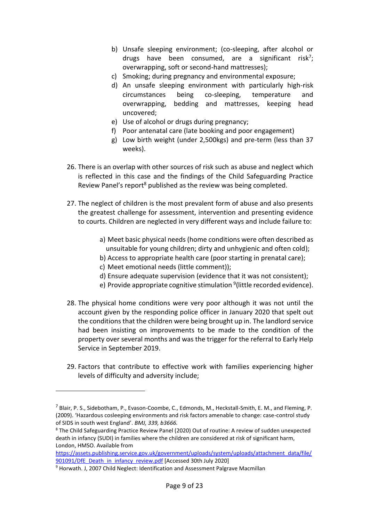- b) Unsafe sleeping environment; (co-sleeping, after alcohol or drugs have been consumed, are a significant risk<sup>7</sup>; overwrapping, soft or second-hand mattresses);
- c) Smoking; during pregnancy and environmental exposure;
- d) An unsafe sleeping environment with particularly high-risk circumstances being co-sleeping, temperature and overwrapping, bedding and mattresses, keeping head uncovered;
- e) Use of alcohol or drugs during pregnancy;
- f) Poor antenatal care (late booking and poor engagement)
- g) Low birth weight (under 2,500kgs) and pre-term (less than 37 weeks).
- 26. There is an overlap with other sources of risk such as abuse and neglect which is reflected in this case and the findings of the Child Safeguarding Practice Review Panel's report<sup>8</sup> published as the review was being completed.
- 27. The neglect of children is the most prevalent form of abuse and also presents the greatest challenge for assessment, intervention and presenting evidence to courts. Children are neglected in very different ways and include failure to:
	- a) Meet basic physical needs (home conditions were often described as unsuitable for young children; dirty and unhygienic and often cold);
	- b) Access to appropriate health care (poor starting in prenatal care);
	- c) Meet emotional needs (little comment));
	- d) Ensure adequate supervision (evidence that it was not consistent);
	- e) Provide appropriate cognitive stimulation <sup>9</sup>(little recorded evidence).
- 28. The physical home conditions were very poor although it was not until the account given by the responding police officer in January 2020 that spelt out the conditions that the children were being brought up in. The landlord service had been insisting on improvements to be made to the condition of the property over several months and was the trigger for the referral to Early Help Service in September 2019.
- 29. Factors that contribute to effective work with families experiencing higher levels of difficulty and adversity include;

 $^7$  Blair, P. S., Sidebotham, P., Evason-Coombe, C., Edmonds, M., Heckstall-Smith, E. M., and Fleming, P. (2009). 'Hazardous cosleeping environments and risk factors amenable to change: case-control study of SIDS in south west England'. *BMJ, 339, b3666.*

<sup>8</sup> The Child Safeguarding Practice Review Panel (2020) Out of routine: A review of sudden unexpected death in infancy (SUDI) in families where the children are considered at risk of significant harm, London, HMSO. Available from

[https://assets.publishing.service.gov.uk/government/uploads/system/uploads/attachment\\_data/file/](https://assets.publishing.service.gov.uk/government/uploads/system/uploads/attachment_data/file/901091/DfE_Death_in_infancy_review.pdf) [901091/DfE\\_Death\\_in\\_infancy\\_review.pdf](https://assets.publishing.service.gov.uk/government/uploads/system/uploads/attachment_data/file/901091/DfE_Death_in_infancy_review.pdf) [Accessed 30th July 2020]

<sup>&</sup>lt;sup>9</sup> Horwath. J, 2007 Child Neglect: Identification and Assessment Palgrave Macmillan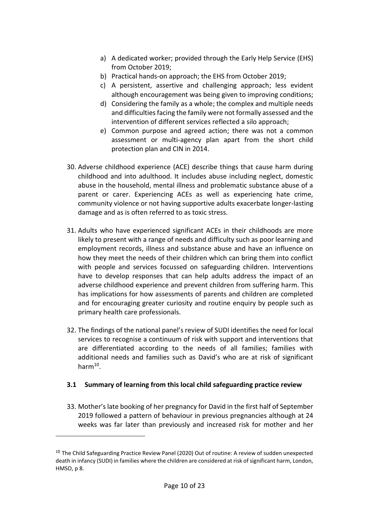- a) A dedicated worker; provided through the Early Help Service (EHS) from October 2019;
- b) Practical hands-on approach; the EHS from October 2019;
- c) A persistent, assertive and challenging approach; less evident although encouragement was being given to improving conditions;
- d) Considering the family as a whole; the complex and multiple needs and difficulties facing the family were not formally assessed and the intervention of different services reflected a silo approach;
- e) Common purpose and agreed action; there was not a common assessment or multi-agency plan apart from the short child protection plan and CIN in 2014.
- 30. Adverse childhood experience (ACE) describe things that cause harm during childhood and into adulthood. It includes abuse including neglect, domestic abuse in the household, mental illness and problematic substance abuse of a parent or carer. Experiencing ACEs as well as experiencing hate crime, community violence or not having supportive adults exacerbate longer-lasting damage and as is often referred to as toxic stress.
- 31. Adults who have experienced significant ACEs in their childhoods are more likely to present with a range of needs and difficulty such as poor learning and employment records, illness and substance abuse and have an influence on how they meet the needs of their children which can bring them into conflict with people and services focussed on safeguarding children. Interventions have to develop responses that can help adults address the impact of an adverse childhood experience and prevent children from suffering harm. This has implications for how assessments of parents and children are completed and for encouraging greater curiosity and routine enquiry by people such as primary health care professionals.
- 32. The findings of the national panel's review of SUDI identifies the need for local services to recognise a continuum of risk with support and interventions that are differentiated according to the needs of all families; families with additional needs and families such as David's who are at risk of significant harm<sup>10</sup>.

# <span id="page-9-0"></span>**3.1 Summary of learning from this local child safeguarding practice review**

33. Mother's late booking of her pregnancy for David in the first half of September 2019 followed a pattern of behaviour in previous pregnancies although at 24 weeks was far later than previously and increased risk for mother and her

<sup>&</sup>lt;sup>10</sup> The Child Safeguarding Practice Review Panel (2020) Out of routine: A review of sudden unexpected death in infancy (SUDI) in families where the children are considered at risk of significant harm, London, HMSO, p 8.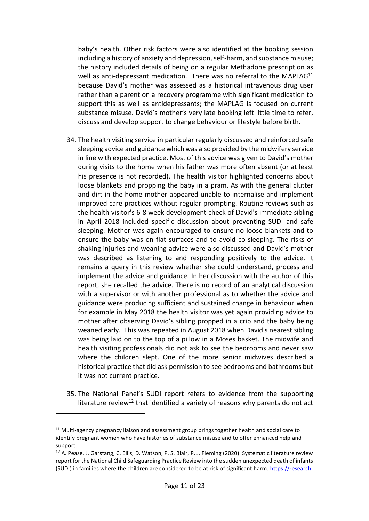baby's health. Other risk factors were also identified at the booking session including a history of anxiety and depression, self-harm, and substance misuse; the history included details of being on a regular Methadone prescription as well as anti-depressant medication. There was no referral to the MAPLAG<sup>11</sup> because David's mother was assessed as a historical intravenous drug user rather than a parent on a recovery programme with significant medication to support this as well as antidepressants; the MAPLAG is focused on current substance misuse. David's mother's very late booking left little time to refer, discuss and develop support to change behaviour or lifestyle before birth.

- 34. The health visiting service in particular regularly discussed and reinforced safe sleeping advice and guidance which was also provided by the midwifery service in line with expected practice. Most of this advice was given to David's mother during visits to the home when his father was more often absent (or at least his presence is not recorded). The health visitor highlighted concerns about loose blankets and propping the baby in a pram. As with the general clutter and dirt in the home mother appeared unable to internalise and implement improved care practices without regular prompting. Routine reviews such as the health visitor's 6-8 week development check of David's immediate sibling in April 2018 included specific discussion about preventing SUDI and safe sleeping. Mother was again encouraged to ensure no loose blankets and to ensure the baby was on flat surfaces and to avoid co-sleeping. The risks of shaking injuries and weaning advice were also discussed and David's mother was described as listening to and responding positively to the advice. It remains a query in this review whether she could understand, process and implement the advice and guidance. In her discussion with the author of this report, she recalled the advice. There is no record of an analytical discussion with a supervisor or with another professional as to whether the advice and guidance were producing sufficient and sustained change in behaviour when for example in May 2018 the health visitor was yet again providing advice to mother after observing David's sibling propped in a crib and the baby being weaned early. This was repeated in August 2018 when David's nearest sibling was being laid on to the top of a pillow in a Moses basket. The midwife and health visiting professionals did not ask to see the bedrooms and never saw where the children slept. One of the more senior midwives described a historical practice that did ask permission to see bedrooms and bathrooms but it was not current practice.
- 35. The National Panel's SUDI report refers to evidence from the supporting literature review<sup>12</sup> that identified a variety of reasons why parents do not act

<sup>&</sup>lt;sup>11</sup> Multi-agency pregnancy liaison and assessment group brings together health and social care to identify pregnant women who have histories of substance misuse and to offer enhanced help and support.

<sup>&</sup>lt;sup>12</sup> A. Pease, J. Garstang, C. Ellis, D. Watson, P. S. Blair, P. J. Fleming (2020). Systematic literature review report for the National Child Safeguarding Practice Review into the sudden unexpected death of infants (SUDI) in families where the children are considered to be at risk of significant harm. [https://research-](https://research-information.bris.ac.uk/en/publications/systematic-literature-review-report-for-the-national-child-safegu)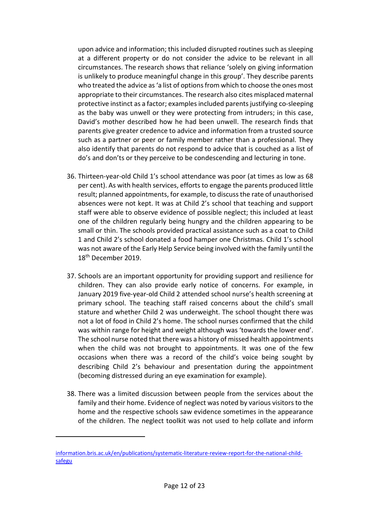upon advice and information; this included disrupted routines such as sleeping at a different property or do not consider the advice to be relevant in all circumstances. The research shows that reliance 'solely on giving information is unlikely to produce meaningful change in this group'. They describe parents who treated the advice as 'a list of options from which to choose the ones most appropriate to their circumstances. The research also cites misplaced maternal protective instinct as a factor; examples included parents justifying co-sleeping as the baby was unwell or they were protecting from intruders; in this case, David's mother described how he had been unwell. The research finds that parents give greater credence to advice and information from a trusted source such as a partner or peer or family member rather than a professional. They also identify that parents do not respond to advice that is couched as a list of do's and don'ts or they perceive to be condescending and lecturing in tone.

- 36. Thirteen-year-old Child 1's school attendance was poor (at times as low as 68 per cent). As with health services, efforts to engage the parents produced little result; planned appointments, for example, to discuss the rate of unauthorised absences were not kept. It was at Child 2's school that teaching and support staff were able to observe evidence of possible neglect; this included at least one of the children regularly being hungry and the children appearing to be small or thin. The schools provided practical assistance such as a coat to Child 1 and Child 2's school donated a food hamper one Christmas. Child 1's school was not aware of the Early Help Service being involved with the family until the 18<sup>th</sup> December 2019.
- 37. Schools are an important opportunity for providing support and resilience for children. They can also provide early notice of concerns. For example, in January 2019 five-year-old Child 2 attended school nurse's health screening at primary school. The teaching staff raised concerns about the child's small stature and whether Child 2 was underweight. The school thought there was not a lot of food in Child 2's home. The school nurses confirmed that the child was within range for height and weight although was 'towards the lower end'. The school nurse noted that there was a history of missed health appointments when the child was not brought to appointments. It was one of the few occasions when there was a record of the child's voice being sought by describing Child 2's behaviour and presentation during the appointment (becoming distressed during an eye examination for example).
- 38. There was a limited discussion between people from the services about the family and their home. Evidence of neglect was noted by various visitors to the home and the respective schools saw evidence sometimes in the appearance of the children. The neglect toolkit was not used to help collate and inform

[information.bris.ac.uk/en/publications/systematic-literature-review-report-for-the-national-child](https://research-information.bris.ac.uk/en/publications/systematic-literature-review-report-for-the-national-child-safegu)[safegu](https://research-information.bris.ac.uk/en/publications/systematic-literature-review-report-for-the-national-child-safegu)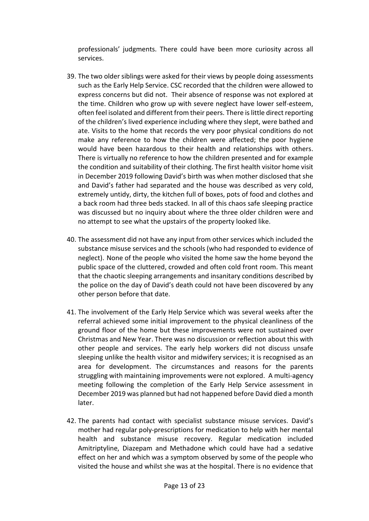professionals' judgments. There could have been more curiosity across all services.

- 39. The two older siblings were asked for their views by people doing assessments such as the Early Help Service. CSC recorded that the children were allowed to express concerns but did not. Their absence of response was not explored at the time. Children who grow up with severe neglect have lower self-esteem, often feel isolated and different from their peers. There is little direct reporting of the children's lived experience including where they slept, were bathed and ate. Visits to the home that records the very poor physical conditions do not make any reference to how the children were affected; the poor hygiene would have been hazardous to their health and relationships with others. There is virtually no reference to how the children presented and for example the condition and suitability of their clothing. The first health visitor home visit in December 2019 following David's birth was when mother disclosed that she and David's father had separated and the house was described as very cold, extremely untidy, dirty, the kitchen full of boxes, pots of food and clothes and a back room had three beds stacked. In all of this chaos safe sleeping practice was discussed but no inquiry about where the three older children were and no attempt to see what the upstairs of the property looked like.
- 40. The assessment did not have any input from other services which included the substance misuse services and the schools (who had responded to evidence of neglect). None of the people who visited the home saw the home beyond the public space of the cluttered, crowded and often cold front room. This meant that the chaotic sleeping arrangements and insanitary conditions described by the police on the day of David's death could not have been discovered by any other person before that date.
- 41. The involvement of the Early Help Service which was several weeks after the referral achieved some initial improvement to the physical cleanliness of the ground floor of the home but these improvements were not sustained over Christmas and New Year. There was no discussion or reflection about this with other people and services. The early help workers did not discuss unsafe sleeping unlike the health visitor and midwifery services; it is recognised as an area for development. The circumstances and reasons for the parents struggling with maintaining improvements were not explored. A multi-agency meeting following the completion of the Early Help Service assessment in December 2019 was planned but had not happened before David died a month later.
- 42. The parents had contact with specialist substance misuse services. David's mother had regular poly-prescriptions for medication to help with her mental health and substance misuse recovery. Regular medication included Amitriptyline, Diazepam and Methadone which could have had a sedative effect on her and which was a symptom observed by some of the people who visited the house and whilst she was at the hospital. There is no evidence that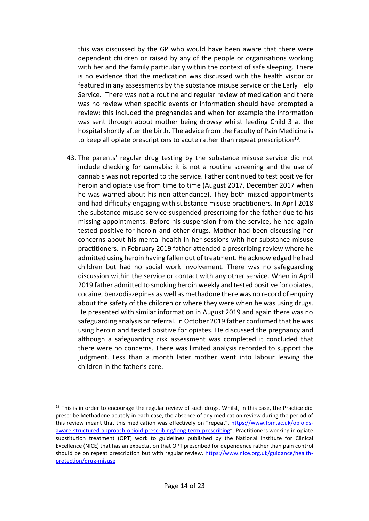this was discussed by the GP who would have been aware that there were dependent children or raised by any of the people or organisations working with her and the family particularly within the context of safe sleeping. There is no evidence that the medication was discussed with the health visitor or featured in any assessments by the substance misuse service or the Early Help Service. There was not a routine and regular review of medication and there was no review when specific events or information should have prompted a review; this included the pregnancies and when for example the information was sent through about mother being drowsy whilst feeding Child 3 at the hospital shortly after the birth. The advice from the Faculty of Pain Medicine is to keep all opiate prescriptions to acute rather than repeat prescription<sup>13</sup>.

43. The parents' regular drug testing by the substance misuse service did not include checking for cannabis; it is not a routine screening and the use of cannabis was not reported to the service. Father continued to test positive for heroin and opiate use from time to time (August 2017, December 2017 when he was warned about his non-attendance). They both missed appointments and had difficulty engaging with substance misuse practitioners. In April 2018 the substance misuse service suspended prescribing for the father due to his missing appointments. Before his suspension from the service, he had again tested positive for heroin and other drugs. Mother had been discussing her concerns about his mental health in her sessions with her substance misuse practitioners. In February 2019 father attended a prescribing review where he admitted using heroin having fallen out of treatment. He acknowledged he had children but had no social work involvement. There was no safeguarding discussion within the service or contact with any other service. When in April 2019 father admitted to smoking heroin weekly and tested positive for opiates, cocaine, benzodiazepines as well as methadone there was no record of enquiry about the safety of the children or where they were when he was using drugs. He presented with similar information in August 2019 and again there was no safeguarding analysis or referral. In October 2019 father confirmed that he was using heroin and tested positive for opiates. He discussed the pregnancy and although a safeguarding risk assessment was completed it concluded that there were no concerns. There was limited analysis recorded to support the judgment. Less than a month later mother went into labour leaving the children in the father's care.

<sup>&</sup>lt;sup>13</sup> This is in order to encourage the regular review of such drugs. Whilst, in this case, the Practice did prescribe Methadone acutely in each case, the absence of any medication review during the period of this review meant that this medication was effectively on "repeat". [https://www.fpm.ac.uk/opioids](https://www.fpm.ac.uk/opioids-aware-structured-approach-opioid-prescribing/long-term-prescribing)[aware-structured-approach-opioid-prescribing/long-term-prescribing](https://www.fpm.ac.uk/opioids-aware-structured-approach-opioid-prescribing/long-term-prescribing)". Practitioners working in opiate substitution treatment (OPT) work to guidelines published by the National Institute for Clinical Excellence (NICE) that has an expectation that OPT prescribed for dependence rather than pain control should be on repeat prescription but with regular review. [https://www.nice.org.uk/guidance/health](https://www.nice.org.uk/guidance/health-protection/drug-misuse)[protection/drug-misuse](https://www.nice.org.uk/guidance/health-protection/drug-misuse)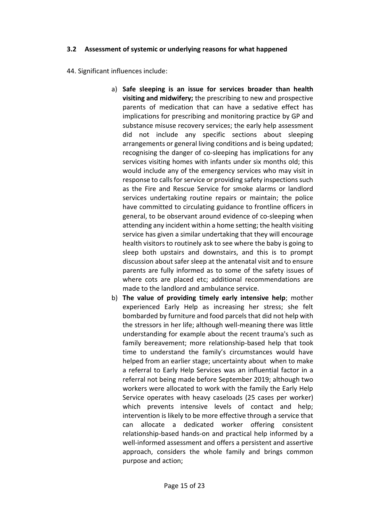# <span id="page-14-0"></span>**3.2 Assessment of systemic or underlying reasons for what happened**

44. Significant influences include:

- a) **Safe sleeping is an issue for services broader than health visiting and midwifery;** the prescribing to new and prospective parents of medication that can have a sedative effect has implications for prescribing and monitoring practice by GP and substance misuse recovery services; the early help assessment did not include any specific sections about sleeping arrangements or general living conditions and is being updated; recognising the danger of co-sleeping has implications for any services visiting homes with infants under six months old; this would include any of the emergency services who may visit in response to calls for service or providing safety inspections such as the Fire and Rescue Service for smoke alarms or landlord services undertaking routine repairs or maintain; the police have committed to circulating guidance to frontline officers in general, to be observant around evidence of co-sleeping when attending any incident within a home setting; the health visiting service has given a similar undertaking that they will encourage health visitors to routinely ask to see where the baby is going to sleep both upstairs and downstairs, and this is to prompt discussion about safer sleep at the antenatal visit and to ensure parents are fully informed as to some of the safety issues of where cots are placed etc; additional recommendations are made to the landlord and ambulance service.
- b) **The value of providing timely early intensive help**; mother experienced Early Help as increasing her stress; she felt bombarded by furniture and food parcels that did not help with the stressors in her life; although well-meaning there was little understanding for example about the recent trauma's such as family bereavement; more relationship-based help that took time to understand the family's circumstances would have helped from an earlier stage; uncertainty about when to make a referral to Early Help Services was an influential factor in a referral not being made before September 2019; although two workers were allocated to work with the family the Early Help Service operates with heavy caseloads (25 cases per worker) which prevents intensive levels of contact and help; intervention is likely to be more effective through a service that can allocate a dedicated worker offering consistent relationship-based hands-on and practical help informed by a well-informed assessment and offers a persistent and assertive approach, considers the whole family and brings common purpose and action;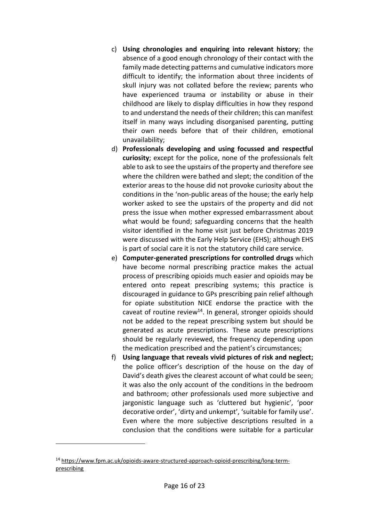- c) **Using chronologies and enquiring into relevant history**; the absence of a good enough chronology of their contact with the family made detecting patterns and cumulative indicators more difficult to identify; the information about three incidents of skull injury was not collated before the review; parents who have experienced trauma or instability or abuse in their childhood are likely to display difficulties in how they respond to and understand the needs of their children; this can manifest itself in many ways including disorganised parenting, putting their own needs before that of their children, emotional unavailability;
- d) **Professionals developing and using focussed and respectful curiosity**; except for the police, none of the professionals felt able to ask to see the upstairs of the property and therefore see where the children were bathed and slept; the condition of the exterior areas to the house did not provoke curiosity about the conditions in the 'non-public areas of the house; the early help worker asked to see the upstairs of the property and did not press the issue when mother expressed embarrassment about what would be found; safeguarding concerns that the health visitor identified in the home visit just before Christmas 2019 were discussed with the Early Help Service (EHS); although EHS is part of social care it is not the statutory child care service.
- e) **Computer-generated prescriptions for controlled drugs** which have become normal prescribing practice makes the actual process of prescribing opioids much easier and opioids may be entered onto repeat prescribing systems; this practice is discouraged in guidance to GPs prescribing pain relief although for opiate substitution NICE endorse the practice with the caveat of routine review $14$ . In general, stronger opioids should not be added to the repeat prescribing system but should be generated as acute prescriptions. These acute prescriptions should be regularly reviewed, the frequency depending upon the medication prescribed and the patient's circumstances;
- f) **Using language that reveals vivid pictures of risk and neglect;** the police officer's description of the house on the day of David's death gives the clearest account of what could be seen; it was also the only account of the conditions in the bedroom and bathroom; other professionals used more subjective and jargonistic language such as 'cluttered but hygienic', 'poor decorative order', 'dirty and unkempt', 'suitable for family use'. Even where the more subjective descriptions resulted in a conclusion that the conditions were suitable for a particular

<sup>14</sup> [https://www.fpm.ac.uk/opioids-aware-structured-approach-opioid-prescribing/long-term](https://www.fpm.ac.uk/opioids-aware-structured-approach-opioid-prescribing/long-term-prescribing)[prescribing](https://www.fpm.ac.uk/opioids-aware-structured-approach-opioid-prescribing/long-term-prescribing)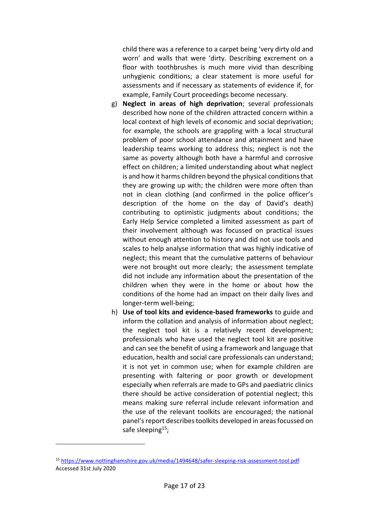child there was a reference to a carpet being 'very dirty old and worn' and walls that were 'dirty. Describing excrement on a floor with toothbrushes is much more vivid than describing unhygienic conditions; a clear statement is more useful for assessments and if necessary as statements of evidence if, for example, Family Court proceedings become necessary.

- g) **Neglect in areas of high deprivation**; several professionals described how none of the children attracted concern within a local context of high levels of economic and social deprivation; for example, the schools are grappling with a local structural problem of poor school attendance and attainment and have leadership teams working to address this; neglect is not the same as poverty although both have a harmful and corrosive effect on children; a limited understanding about what neglect is and how it harms children beyond the physical conditions that they are growing up with; the children were more often than not in clean clothing (and confirmed in the police officer's description of the home on the day of David's death) contributing to optimistic judgments about conditions; the Early Help Service completed a limited assessment as part of their involvement although was focussed on practical issues without enough attention to history and did not use tools and scales to help analyse information that was highly indicative of neglect; this meant that the cumulative patterns of behaviour were not brought out more clearly; the assessment template did not include any information about the presentation of the children when they were in the home or about how the conditions of the home had an impact on their daily lives and longer-term well-being;
- h) **Use of tool kits and evidence-based frameworks** to guide and inform the collation and analysis of information about neglect; the neglect tool kit is a relatively recent development; professionals who have used the neglect tool kit are positive and can see the benefit of using a framework and language that education, health and social care professionals can understand; it is not yet in common use; when for example children are presenting with faltering or poor growth or development especially when referrals are made to GPs and paediatric clinics there should be active consideration of potential neglect; this means making sure referral include relevant information and the use of the relevant toolkits are encouraged; the national panel's report describes toolkits developed in areas focussed on safe sleeping $15$ ;

<sup>15</sup> <https://www.nottinghamshire.gov.uk/media/1494648/safer-sleeping-risk-assessment-tool.pdf> Accessed 31st July 2020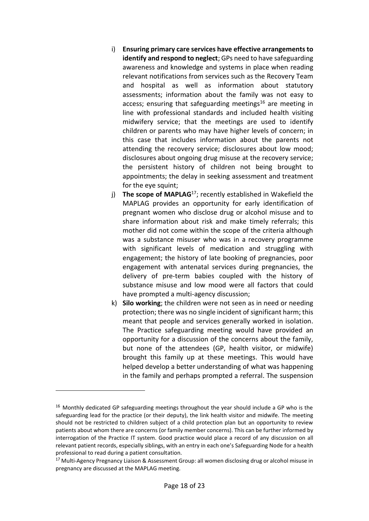- i) **Ensuring primary care services have effective arrangements to identify and respond to neglect**; GPs need to have safeguarding awareness and knowledge and systems in place when reading relevant notifications from services such as the Recovery Team and hospital as well as information about statutory assessments; information about the family was not easy to access; ensuring that safeguarding meetings<sup>16</sup> are meeting in line with professional standards and included health visiting midwifery service; that the meetings are used to identify children or parents who may have higher levels of concern; in this case that includes information about the parents not attending the recovery service; disclosures about low mood; disclosures about ongoing drug misuse at the recovery service; the persistent history of children not being brought to appointments; the delay in seeking assessment and treatment for the eye squint;
- j) **The scope of MAPLAG**<sup>17</sup>; recently established in Wakefield the MAPLAG provides an opportunity for early identification of pregnant women who disclose drug or alcohol misuse and to share information about risk and make timely referrals; this mother did not come within the scope of the criteria although was a substance misuser who was in a recovery programme with significant levels of medication and struggling with engagement; the history of late booking of pregnancies, poor engagement with antenatal services during pregnancies, the delivery of pre-term babies coupled with the history of substance misuse and low mood were all factors that could have prompted a multi-agency discussion;
- k) **Silo working**; the children were not seen as in need or needing protection; there was no single incident of significant harm; this meant that people and services generally worked in isolation. The Practice safeguarding meeting would have provided an opportunity for a discussion of the concerns about the family, but none of the attendees (GP, health visitor, or midwife) brought this family up at these meetings. This would have helped develop a better understanding of what was happening in the family and perhaps prompted a referral. The suspension

<sup>16</sup> Monthly dedicated GP safeguarding meetings throughout the year should include a GP who is the safeguarding lead for the practice (or their deputy), the link health visitor and midwife. The meeting should not be restricted to children subject of a child protection plan but an opportunity to review patients about whom there are concerns (or family member concerns). This can be further informed by interrogation of the Practice IT system. Good practice would place a record of any discussion on all relevant patient records, especially siblings, with an entry in each one's Safeguarding Node for a health professional to read during a patient consultation.

<sup>&</sup>lt;sup>17</sup> Multi-Agency Pregnancy Liaison & Assessment Group: all women disclosing drug or alcohol misuse in pregnancy are discussed at the MAPLAG meeting.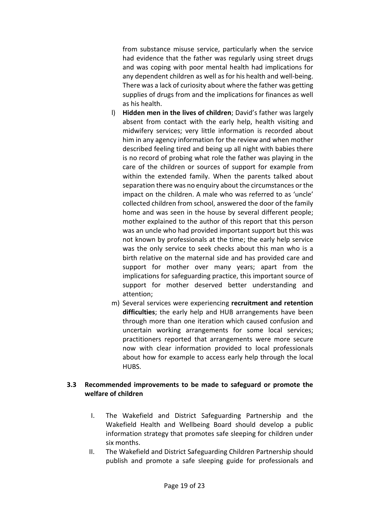from substance misuse service, particularly when the service had evidence that the father was regularly using street drugs and was coping with poor mental health had implications for any dependent children as well as for his health and well-being. There was a lack of curiosity about where the father was getting supplies of drugs from and the implications for finances as well as his health.

- l) **Hidden men in the lives of children**; David's father was largely absent from contact with the early help, health visiting and midwifery services; very little information is recorded about him in any agency information for the review and when mother described feeling tired and being up all night with babies there is no record of probing what role the father was playing in the care of the children or sources of support for example from within the extended family. When the parents talked about separation there was no enquiry about the circumstances or the impact on the children. A male who was referred to as 'uncle' collected children from school, answered the door of the family home and was seen in the house by several different people; mother explained to the author of this report that this person was an uncle who had provided important support but this was not known by professionals at the time; the early help service was the only service to seek checks about this man who is a birth relative on the maternal side and has provided care and support for mother over many years; apart from the implications for safeguarding practice, this important source of support for mother deserved better understanding and attention;
- m) Several services were experiencing **recruitment and retention difficulties**; the early help and HUB arrangements have been through more than one iteration which caused confusion and uncertain working arrangements for some local services; practitioners reported that arrangements were more secure now with clear information provided to local professionals about how for example to access early help through the local HUBS.

# <span id="page-18-0"></span>**3.3 Recommended improvements to be made to safeguard or promote the welfare of children**

- I. The Wakefield and District Safeguarding Partnership and the Wakefield Health and Wellbeing Board should develop a public information strategy that promotes safe sleeping for children under six months.
- II. The Wakefield and District Safeguarding Children Partnership should publish and promote a safe sleeping guide for professionals and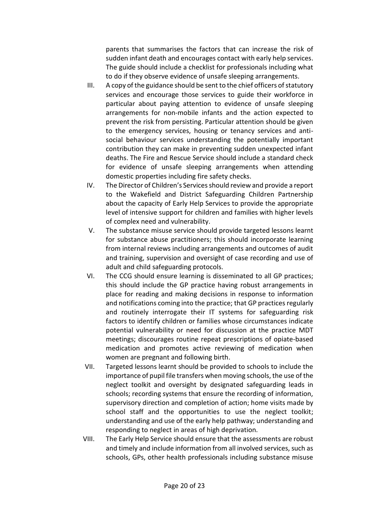parents that summarises the factors that can increase the risk of sudden infant death and encourages contact with early help services. The guide should include a checklist for professionals including what to do if they observe evidence of unsafe sleeping arrangements.

- III. A copy of the guidance should be sent to the chief officers of statutory services and encourage those services to guide their workforce in particular about paying attention to evidence of unsafe sleeping arrangements for non-mobile infants and the action expected to prevent the risk from persisting. Particular attention should be given to the emergency services, housing or tenancy services and antisocial behaviour services understanding the potentially important contribution they can make in preventing sudden unexpected infant deaths. The Fire and Rescue Service should include a standard check for evidence of unsafe sleeping arrangements when attending domestic properties including fire safety checks.
- IV. The Director of Children's Services should review and provide a report to the Wakefield and District Safeguarding Children Partnership about the capacity of Early Help Services to provide the appropriate level of intensive support for children and families with higher levels of complex need and vulnerability.
- V. The substance misuse service should provide targeted lessons learnt for substance abuse practitioners; this should incorporate learning from internal reviews including arrangements and outcomes of audit and training, supervision and oversight of case recording and use of adult and child safeguarding protocols.
- VI. The CCG should ensure learning is disseminated to all GP practices; this should include the GP practice having robust arrangements in place for reading and making decisions in response to information and notifications coming into the practice; that GP practices regularly and routinely interrogate their IT systems for safeguarding risk factors to identify children or families whose circumstances indicate potential vulnerability or need for discussion at the practice MDT meetings; discourages routine repeat prescriptions of opiate-based medication and promotes active reviewing of medication when women are pregnant and following birth.
- VII. Targeted lessons learnt should be provided to schools to include the importance of pupil file transfers when moving schools, the use of the neglect toolkit and oversight by designated safeguarding leads in schools; recording systems that ensure the recording of information, supervisory direction and completion of action; home visits made by school staff and the opportunities to use the neglect toolkit; understanding and use of the early help pathway; understanding and responding to neglect in areas of high deprivation.
- VIII. The Early Help Service should ensure that the assessments are robust and timely and include information from all involved services, such as schools, GPs, other health professionals including substance misuse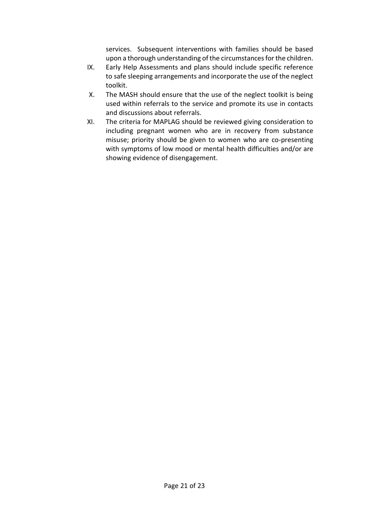services. Subsequent interventions with families should be based upon a thorough understanding of the circumstances for the children.

- IX. Early Help Assessments and plans should include specific reference to safe sleeping arrangements and incorporate the use of the neglect toolkit.
- X. The MASH should ensure that the use of the neglect toolkit is being used within referrals to the service and promote its use in contacts and discussions about referrals.
- XI. The criteria for MAPLAG should be reviewed giving consideration to including pregnant women who are in recovery from substance misuse; priority should be given to women who are co-presenting with symptoms of low mood or mental health difficulties and/or are showing evidence of disengagement.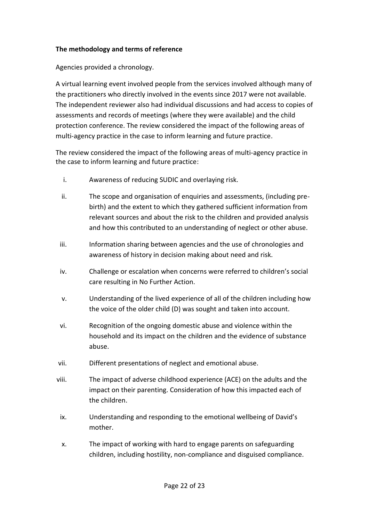# <span id="page-21-0"></span>**The methodology and terms of reference**

Agencies provided a chronology.

A virtual learning event involved people from the services involved although many of the practitioners who directly involved in the events since 2017 were not available. The independent reviewer also had individual discussions and had access to copies of assessments and records of meetings (where they were available) and the child protection conference. The review considered the impact of the following areas of multi-agency practice in the case to inform learning and future practice.

The review considered the impact of the following areas of multi-agency practice in the case to inform learning and future practice:

- i. Awareness of reducing SUDIC and overlaying risk.
- ii. The scope and organisation of enquiries and assessments, (including prebirth) and the extent to which they gathered sufficient information from relevant sources and about the risk to the children and provided analysis and how this contributed to an understanding of neglect or other abuse.
- iii. Information sharing between agencies and the use of chronologies and awareness of history in decision making about need and risk.
- iv. Challenge or escalation when concerns were referred to children's social care resulting in No Further Action.
- v. Understanding of the lived experience of all of the children including how the voice of the older child (D) was sought and taken into account.
- vi. Recognition of the ongoing domestic abuse and violence within the household and its impact on the children and the evidence of substance abuse.
- vii. Different presentations of neglect and emotional abuse.
- viii. The impact of adverse childhood experience (ACE) on the adults and the impact on their parenting. Consideration of how this impacted each of the children.
- ix. Understanding and responding to the emotional wellbeing of David's mother.
- x. The impact of working with hard to engage parents on safeguarding children, including hostility, non-compliance and disguised compliance.